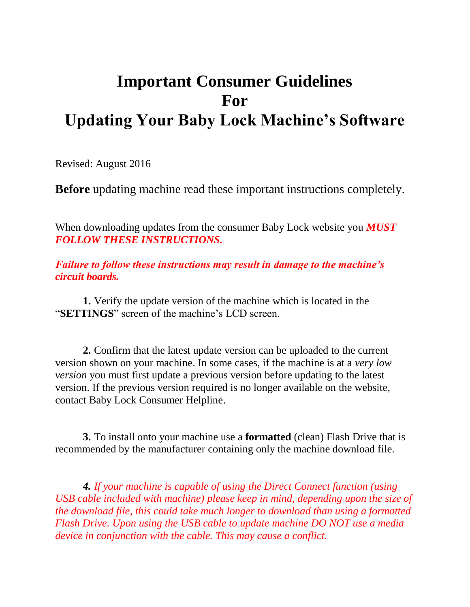## **Important Consumer Guidelines For Updating Your Baby Lock Machine's Software**

Revised: August 2016

**Before** updating machine read these important instructions completely.

When downloading updates from the consumer Baby Lock website you *MUST FOLLOW THESE INSTRUCTIONS.*

*Failure to follow these instructions may result in damage to the machine's circuit boards.*

**1.** Verify the update version of the machine which is located in the "**SETTINGS**" screen of the machine's LCD screen.

**2.** Confirm that the latest update version can be uploaded to the current version shown on your machine. In some cases, if the machine is at a *very low version* you must first update a previous version before updating to the latest version. If the previous version required is no longer available on the website, contact Baby Lock Consumer Helpline.

**3.** To install onto your machine use a **formatted** (clean) Flash Drive that is recommended by the manufacturer containing only the machine download file.

*4. If your machine is capable of using the Direct Connect function (using USB cable included with machine) please keep in mind, depending upon the size of the download file, this could take much longer to download than using a formatted Flash Drive. Upon using the USB cable to update machine DO NOT use a media device in conjunction with the cable. This may cause a conflict.*